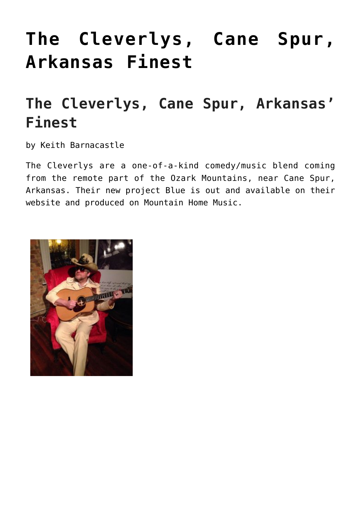## **[The Cleverlys, Cane Spur,](https://thebluegrassstandard.com/the-cleverlys-cane-spur-arkansas-finest/) [Arkansas Finest](https://thebluegrassstandard.com/the-cleverlys-cane-spur-arkansas-finest/)**

## **The Cleverlys, Cane Spur, Arkansas' Finest**

by Keith Barnacastle

The Cleverlys are a one-of-a-kind comedy/music blend coming from the remote part of the Ozark Mountains, near Cane Spur, Arkansas. Their new project Blue is out and available on their website and produced on Mountain Home Music.

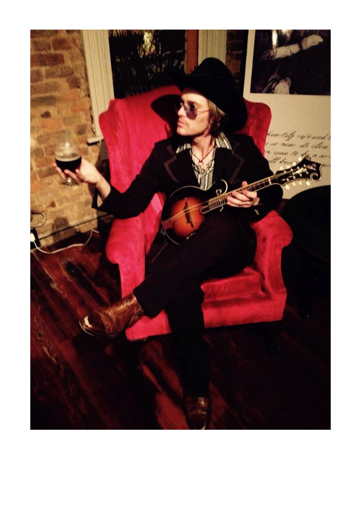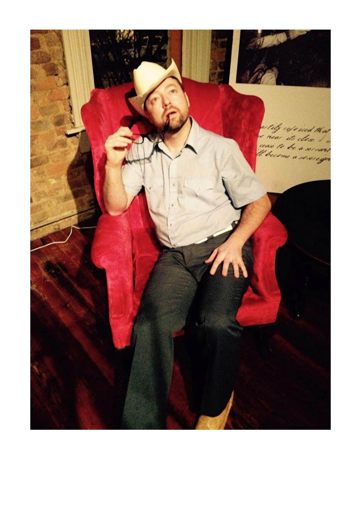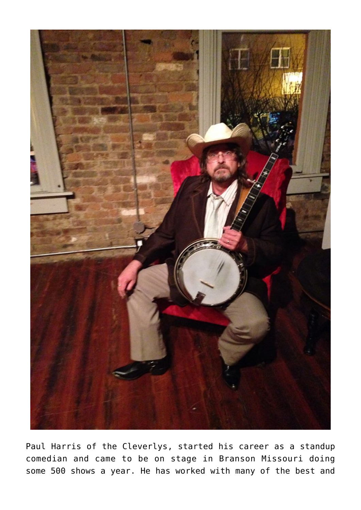

Paul Harris of the Cleverlys, started his career as a standup comedian and came to be on stage in Branson Missouri doing some 500 shows a year. He has worked with many of the best and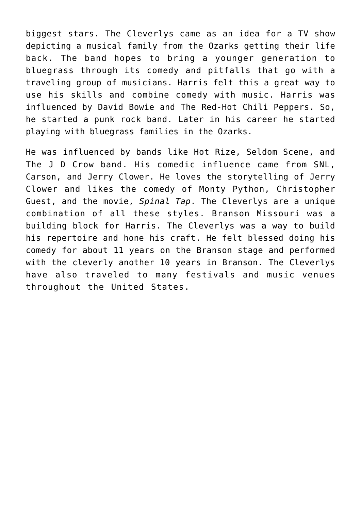biggest stars. The Cleverlys came as an idea for a TV show depicting a musical family from the Ozarks getting their life back. The band hopes to bring a younger generation to bluegrass through its comedy and pitfalls that go with a traveling group of musicians. Harris felt this a great way to use his skills and combine comedy with music. Harris was influenced by David Bowie and The Red-Hot Chili Peppers. So, he started a punk rock band. Later in his career he started playing with bluegrass families in the Ozarks.

He was influenced by bands like Hot Rize, Seldom Scene, and The J D Crow band. His comedic influence came from SNL, Carson, and Jerry Clower. He loves the storytelling of Jerry Clower and likes the comedy of Monty Python, Christopher Guest, and the movie, *Spinal Tap*. The Cleverlys are a unique combination of all these styles. Branson Missouri was a building block for Harris. The Cleverlys was a way to build his repertoire and hone his craft. He felt blessed doing his comedy for about 11 years on the Branson stage and performed with the cleverly another 10 years in Branson. The Cleverlys have also traveled to many festivals and music venues throughout the United States.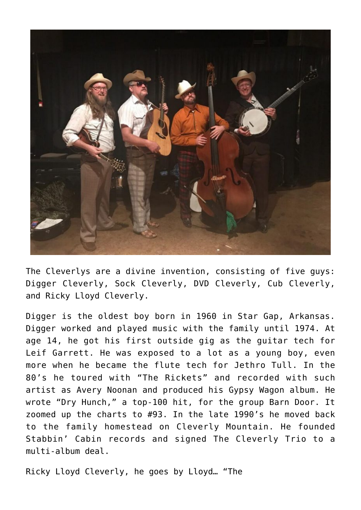

The Cleverlys are a divine invention, consisting of five guys: Digger Cleverly, Sock Cleverly, DVD Cleverly, Cub Cleverly, and Ricky Lloyd Cleverly.

Digger is the oldest boy born in 1960 in Star Gap, Arkansas. Digger worked and played music with the family until 1974. At age 14, he got his first outside gig as the guitar tech for Leif Garrett. He was exposed to a lot as a young boy, even more when he became the flute tech for Jethro Tull. In the 80's he toured with "The Rickets" and recorded with such artist as Avery Noonan and produced his Gypsy Wagon album. He wrote "Dry Hunch," a top-100 hit, for the group Barn Door. It zoomed up the charts to #93. In the late 1990's he moved back to the family homestead on Cleverly Mountain. He founded Stabbin' Cabin records and signed The Cleverly Trio to a multi-album deal.

Ricky Lloyd Cleverly, he goes by Lloyd… "The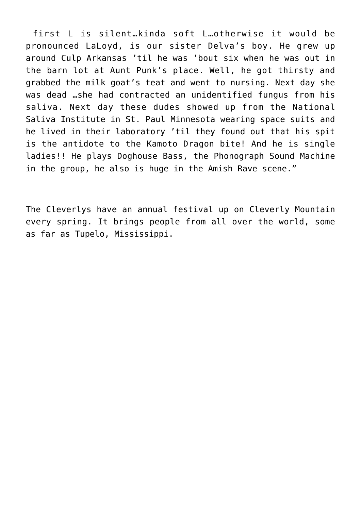first L is silent…kinda soft L…otherwise it would be pronounced LaLoyd, is our sister Delva's boy. He grew up around Culp Arkansas 'til he was 'bout six when he was out in the barn lot at Aunt Punk's place. Well, he got thirsty and grabbed the milk goat's teat and went to nursing. Next day she was dead …she had contracted an unidentified fungus from his saliva. Next day these dudes showed up from the National Saliva Institute in St. Paul Minnesota wearing space suits and he lived in their laboratory 'til they found out that his spit is the antidote to the Kamoto Dragon bite! And he is single ladies!! He plays Doghouse Bass, the Phonograph Sound Machine in the group, he also is huge in the Amish Rave scene."

The Cleverlys have an annual festival up on Cleverly Mountain every spring. It brings people from all over the world, some as far as Tupelo, Mississippi.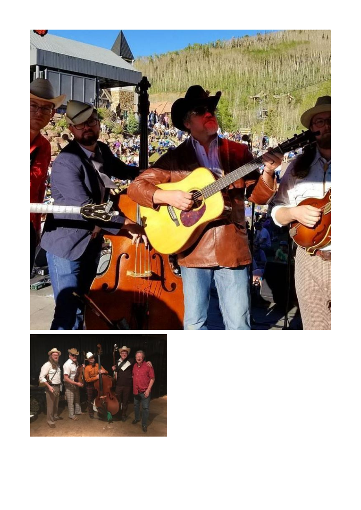